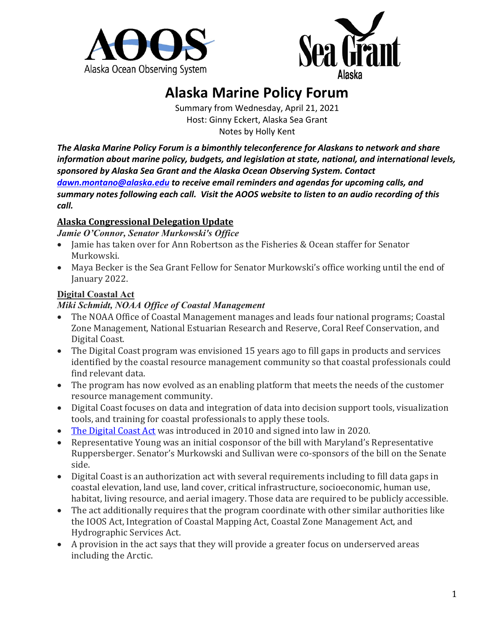



# **Alaska Marine Policy Forum**

Summary from Wednesday, April 21, 2021 Host: Ginny Eckert, Alaska Sea Grant Notes by Holly Kent

*The Alaska Marine Policy Forum is a bimonthly teleconference for Alaskans to network and share information about marine policy, budgets, and legislation at state, national, and international levels, sponsored by Alaska Sea Grant and the Alaska Ocean Observing System. Contact [dawn.montano@alaska.edu](mailto:dawn.montano@alaska.edu) to receive email reminders and agendas for upcoming calls, and summary notes following each call. Visit the AOOS website to listen to an audio recording of this call.*

## **Alaska Congressional Delegation Update**

*Jamie O'Connor, Senator Murkowski's Office*

- Jamie has taken over for Ann Robertson as the Fisheries & Ocean staffer for Senator Murkowski.
- Maya Becker is the Sea Grant Fellow for Senator Murkowski's office working until the end of January 2022.

## **Digital Coastal Act**

#### *Miki Schmidt, NOAA Office of Coastal Management*

- The NOAA Office of Coastal Management manages and leads four national programs; Coastal Zone Management, National Estuarian Research and Reserve, Coral Reef Conservation, and Digital Coast.
- The Digital Coast program was envisioned 15 years ago to fill gaps in products and services identified by the coastal resource management community so that coastal professionals could find relevant data.
- The program has now evolved as an enabling platform that meets the needs of the customer resource management community.
- Digital Coast focuses on data and integration of data into decision support tools, visualization tools, and training for coastal professionals to apply these tools.
- [The Digital Coast Act](https://www.congress.gov/bill/116th-congress/house-bill/2189) was introduced in 2010 and signed into law in 2020.
- Representative Young was an initial cosponsor of the bill with Maryland's Representative Ruppersberger. Senator's Murkowski and Sullivan were co-sponsors of the bill on the Senate side.
- Digital Coast is an authorization act with several requirements including to fill data gaps in coastal elevation, land use, land cover, critical infrastructure, socioeconomic, human use, habitat, living resource, and aerial imagery. Those data are required to be publicly accessible.
- The act additionally requires that the program coordinate with other similar authorities like the IOOS Act, Integration of Coastal Mapping Act, Coastal Zone Management Act, and Hydrographic Services Act.
- A provision in the act says that they will provide a greater focus on underserved areas including the Arctic.